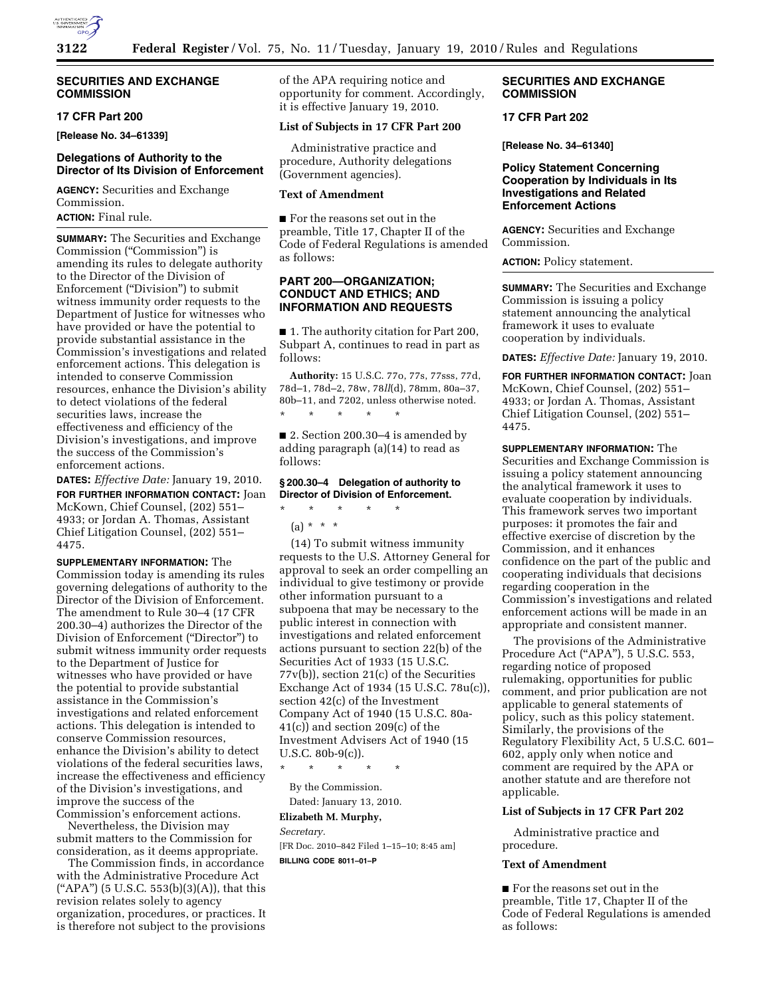

### **SECURITIES AND EXCHANGE COMMISSION**

### **17 CFR Part 200**

**[Release No. 34–61339]** 

## **Delegations of Authority to the Director of Its Division of Enforcement**

**AGENCY:** Securities and Exchange Commission. **ACTION:** Final rule.

**SUMMARY:** The Securities and Exchange Commission (''Commission'') is amending its rules to delegate authority to the Director of the Division of Enforcement (''Division'') to submit witness immunity order requests to the Department of Justice for witnesses who have provided or have the potential to provide substantial assistance in the Commission's investigations and related enforcement actions. This delegation is intended to conserve Commission resources, enhance the Division's ability to detect violations of the federal securities laws, increase the effectiveness and efficiency of the Division's investigations, and improve the success of the Commission's enforcement actions.

**DATES:** *Effective Date:* January 19, 2010. **FOR FURTHER INFORMATION CONTACT:** Joan McKown, Chief Counsel, (202) 551– 4933; or Jordan A. Thomas, Assistant Chief Litigation Counsel, (202) 551– 4475.

**SUPPLEMENTARY INFORMATION:** The Commission today is amending its rules governing delegations of authority to the Director of the Division of Enforcement. The amendment to Rule 30–4 (17 CFR 200.30–4) authorizes the Director of the Division of Enforcement (''Director'') to submit witness immunity order requests to the Department of Justice for witnesses who have provided or have the potential to provide substantial assistance in the Commission's investigations and related enforcement actions. This delegation is intended to conserve Commission resources, enhance the Division's ability to detect violations of the federal securities laws, increase the effectiveness and efficiency of the Division's investigations, and improve the success of the Commission's enforcement actions.

Nevertheless, the Division may submit matters to the Commission for consideration, as it deems appropriate.

The Commission finds, in accordance with the Administrative Procedure Act  $("APA")$  (5 U.S.C. 553(b)(3)(A)), that this revision relates solely to agency organization, procedures, or practices. It is therefore not subject to the provisions

of the APA requiring notice and opportunity for comment. Accordingly, it is effective January 19, 2010.

### **List of Subjects in 17 CFR Part 200**

Administrative practice and procedure, Authority delegations (Government agencies).

### **Text of Amendment**

■ For the reasons set out in the preamble, Title 17, Chapter II of the Code of Federal Regulations is amended as follows:

### **PART 200—ORGANIZATION; CONDUCT AND ETHICS; AND INFORMATION AND REQUESTS**

■ 1. The authority citation for Part 200, Subpart A, continues to read in part as follows:

**Authority:** 15 U.S.C. 77o, 77s, 77sss, 77d, 78d–1, 78d–2, 78w, 78*ll*(d), 78mm, 80a–37, 80b–11, and 7202, unless otherwise noted. \* \* \* \* \*

■ 2. Section 200.30–4 is amended by adding paragraph (a)(14) to read as follows:

### **§ 200.30–4 Delegation of authority to Director of Division of Enforcement.**

# \* \* \* \* \*

 $(a) * * * *$ 

(14) To submit witness immunity requests to the U.S. Attorney General for approval to seek an order compelling an individual to give testimony or provide other information pursuant to a subpoena that may be necessary to the public interest in connection with investigations and related enforcement actions pursuant to section 22(b) of the Securities Act of 1933 (15 U.S.C. 77v(b)), section 21(c) of the Securities Exchange Act of 1934 (15 U.S.C. 78u(c)), section 42(c) of the Investment Company Act of 1940 (15 U.S.C. 80a-41(c)) and section 209(c) of the Investment Advisers Act of 1940 (15 U.S.C. 80b-9(c)).

\* \* \* \* \*

By the Commission. Dated: January 13, 2010.

### **Elizabeth M. Murphy,**

*Secretary.*  [FR Doc. 2010–842 Filed 1–15–10; 8:45 am]

**BILLING CODE 8011–01–P** 

### **SECURITIES AND EXCHANGE COMMISSION**

### **17 CFR Part 202**

**[Release No. 34–61340]** 

### **Policy Statement Concerning Cooperation by Individuals in Its Investigations and Related Enforcement Actions**

**AGENCY:** Securities and Exchange Commission.

**ACTION:** Policy statement.

**SUMMARY:** The Securities and Exchange Commission is issuing a policy statement announcing the analytical framework it uses to evaluate cooperation by individuals.

**DATES:** *Effective Date:* January 19, 2010.

**FOR FURTHER INFORMATION CONTACT:** Joan McKown, Chief Counsel, (202) 551– 4933; or Jordan A. Thomas, Assistant Chief Litigation Counsel, (202) 551– 4475.

**SUPPLEMENTARY INFORMATION:** The Securities and Exchange Commission is issuing a policy statement announcing the analytical framework it uses to evaluate cooperation by individuals. This framework serves two important purposes: it promotes the fair and effective exercise of discretion by the Commission, and it enhances confidence on the part of the public and cooperating individuals that decisions regarding cooperation in the Commission's investigations and related enforcement actions will be made in an appropriate and consistent manner.

The provisions of the Administrative Procedure Act (''APA''), 5 U.S.C. 553, regarding notice of proposed rulemaking, opportunities for public comment, and prior publication are not applicable to general statements of policy, such as this policy statement. Similarly, the provisions of the Regulatory Flexibility Act, 5 U.S.C. 601– 602, apply only when notice and comment are required by the APA or another statute and are therefore not applicable.

### **List of Subjects in 17 CFR Part 202**

Administrative practice and procedure.

#### **Text of Amendment**

■ For the reasons set out in the preamble, Title 17, Chapter II of the Code of Federal Regulations is amended as follows: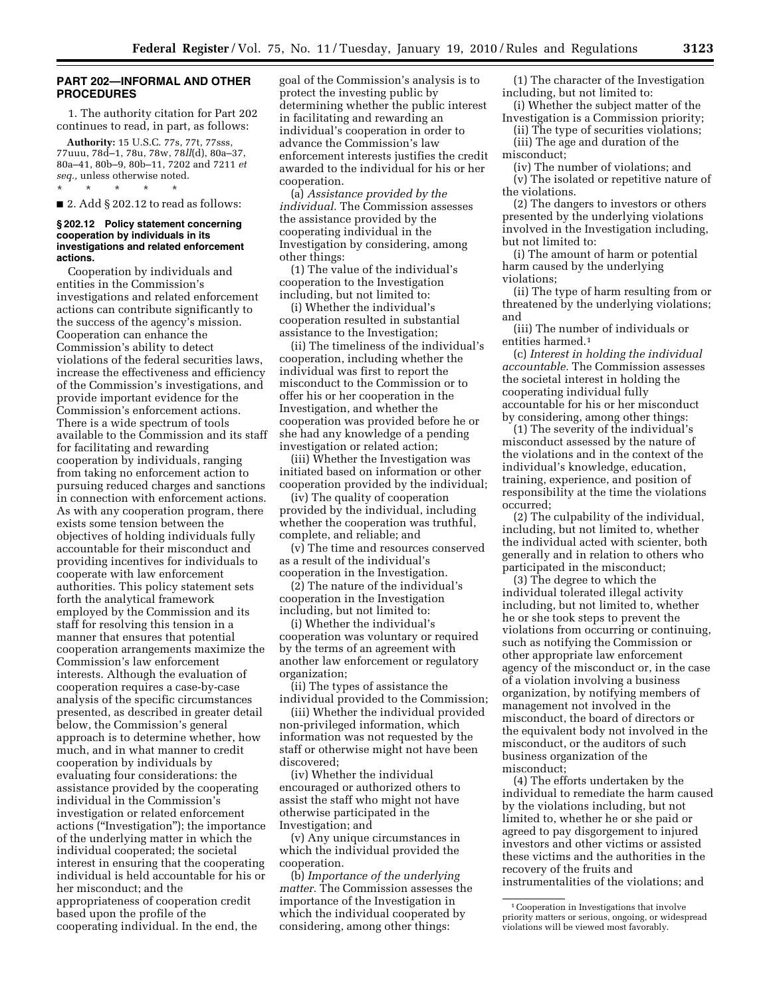### **PART 202—INFORMAL AND OTHER PROCEDURES**

1. The authority citation for Part 202 continues to read, in part, as follows:

**Authority:** 15 U.S.C. 77s, 77t, 77sss, 77uuu, 78d–1, 78u, 78w, 78*ll*(d), 80a–37, 80a–41, 80b–9, 80b–11, 7202 and 7211 *et seq.,* unless otherwise noted.

■ 2. Add § 202.12 to read as follows:

\* \* \* \* \*

#### **§ 202.12 Policy statement concerning cooperation by individuals in its investigations and related enforcement actions.**

Cooperation by individuals and entities in the Commission's investigations and related enforcement actions can contribute significantly to the success of the agency's mission. Cooperation can enhance the Commission's ability to detect violations of the federal securities laws, increase the effectiveness and efficiency of the Commission's investigations, and provide important evidence for the Commission's enforcement actions. There is a wide spectrum of tools available to the Commission and its staff for facilitating and rewarding cooperation by individuals, ranging from taking no enforcement action to pursuing reduced charges and sanctions in connection with enforcement actions. As with any cooperation program, there exists some tension between the objectives of holding individuals fully accountable for their misconduct and providing incentives for individuals to cooperate with law enforcement authorities. This policy statement sets forth the analytical framework employed by the Commission and its staff for resolving this tension in a manner that ensures that potential cooperation arrangements maximize the Commission's law enforcement interests. Although the evaluation of cooperation requires a case-by-case analysis of the specific circumstances presented, as described in greater detail below, the Commission's general approach is to determine whether, how much, and in what manner to credit cooperation by individuals by evaluating four considerations: the assistance provided by the cooperating individual in the Commission's investigation or related enforcement actions (''Investigation''); the importance of the underlying matter in which the individual cooperated; the societal interest in ensuring that the cooperating individual is held accountable for his or her misconduct; and the appropriateness of cooperation credit based upon the profile of the cooperating individual. In the end, the

goal of the Commission's analysis is to protect the investing public by determining whether the public interest in facilitating and rewarding an individual's cooperation in order to advance the Commission's law enforcement interests justifies the credit awarded to the individual for his or her cooperation.

(a) *Assistance provided by the individual.* The Commission assesses the assistance provided by the cooperating individual in the Investigation by considering, among other things:

(1) The value of the individual's cooperation to the Investigation including, but not limited to:

(i) Whether the individual's cooperation resulted in substantial assistance to the Investigation;

(ii) The timeliness of the individual's cooperation, including whether the individual was first to report the misconduct to the Commission or to offer his or her cooperation in the Investigation, and whether the cooperation was provided before he or she had any knowledge of a pending investigation or related action;

(iii) Whether the Investigation was initiated based on information or other cooperation provided by the individual;

(iv) The quality of cooperation provided by the individual, including whether the cooperation was truthful, complete, and reliable; and

(v) The time and resources conserved as a result of the individual's cooperation in the Investigation.

(2) The nature of the individual's cooperation in the Investigation including, but not limited to:

(i) Whether the individual's cooperation was voluntary or required by the terms of an agreement with another law enforcement or regulatory organization;

(ii) The types of assistance the individual provided to the Commission;

(iii) Whether the individual provided non-privileged information, which information was not requested by the staff or otherwise might not have been discovered;

(iv) Whether the individual encouraged or authorized others to assist the staff who might not have otherwise participated in the Investigation; and

(v) Any unique circumstances in which the individual provided the cooperation.

(b) *Importance of the underlying matter.* The Commission assesses the importance of the Investigation in which the individual cooperated by considering, among other things:

(1) The character of the Investigation including, but not limited to:

(i) Whether the subject matter of the Investigation is a Commission priority;

(ii) The type of securities violations; (iii) The age and duration of the misconduct;

(iv) The number of violations; and

(v) The isolated or repetitive nature of the violations.

(2) The dangers to investors or others presented by the underlying violations involved in the Investigation including, but not limited to:

(i) The amount of harm or potential harm caused by the underlying violations;

(ii) The type of harm resulting from or threatened by the underlying violations; and

(iii) The number of individuals or entities harmed.1

(c) *Interest in holding the individual accountable.* The Commission assesses the societal interest in holding the cooperating individual fully accountable for his or her misconduct by considering, among other things:

(1) The severity of the individual's misconduct assessed by the nature of the violations and in the context of the individual's knowledge, education, training, experience, and position of responsibility at the time the violations occurred;

(2) The culpability of the individual, including, but not limited to, whether the individual acted with scienter, both generally and in relation to others who participated in the misconduct;

(3) The degree to which the individual tolerated illegal activity including, but not limited to, whether he or she took steps to prevent the violations from occurring or continuing, such as notifying the Commission or other appropriate law enforcement agency of the misconduct or, in the case of a violation involving a business organization, by notifying members of management not involved in the misconduct, the board of directors or the equivalent body not involved in the misconduct, or the auditors of such business organization of the misconduct;

(4) The efforts undertaken by the individual to remediate the harm caused by the violations including, but not limited to, whether he or she paid or agreed to pay disgorgement to injured investors and other victims or assisted these victims and the authorities in the recovery of the fruits and instrumentalities of the violations; and

<sup>1</sup>Cooperation in Investigations that involve priority matters or serious, ongoing, or widespread violations will be viewed most favorably.